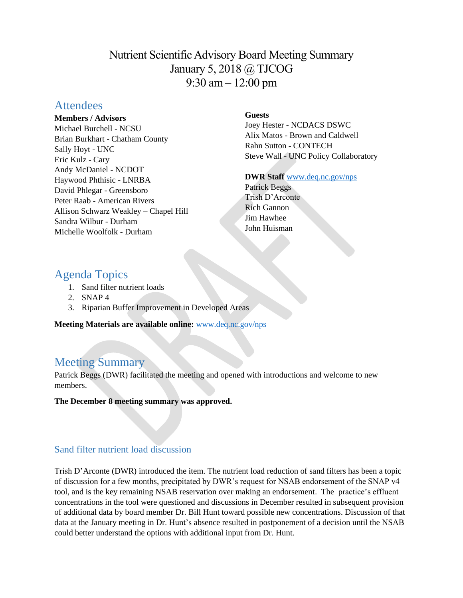Nutrient Scientific Advisory Board Meeting Summary January 5, 2018 @ TJCOG 9:30 am – 12:00 pm

# **Attendees**

**Members / Advisors**

Michael Burchell - NCSU Brian Burkhart - Chatham County Sally Hoyt - UNC Eric Kulz - Cary Andy McDaniel - NCDOT Haywood Phthisic - LNRBA David Phlegar - Greensboro Peter Raab - American Rivers Allison Schwarz Weakley – Chapel Hill Sandra Wilbur - Durham Michelle Woolfolk - Durham

# **Guests**

Joey Hester - NCDACS DSWC Alix Matos - Brown and Caldwell Rahn Sutton - CONTECH Steve Wall - UNC Policy Collaboratory

**DWR Staff** [www.deq.nc.gov/nps](http://www.deq.nc.gov/nps)

Patrick Beggs Trish D'Arconte Rich Gannon Jim Hawhee John Huisman

# Agenda Topics

- 1. Sand filter nutrient loads
- 2. SNAP 4
- 3. Riparian Buffer Improvement in Developed Areas

**Meeting Materials are available online:** [www.deq.nc.gov/nps](https://deq.nc.gov/about/divisions/water-resources/planning/nonpoint-source-management/nutrient-scientific-advisory-board/meeting-documents)

# Meeting Summary

Patrick Beggs (DWR) facilitated the meeting and opened with introductions and welcome to new members.

**The December 8 meeting summary was approved.** 

# Sand filter nutrient load discussion

Trish D'Arconte (DWR) introduced the item. The nutrient load reduction of sand filters has been a topic of discussion for a few months, precipitated by DWR's request for NSAB endorsement of the SNAP v4 tool, and is the key remaining NSAB reservation over making an endorsement. The practice's effluent concentrations in the tool were questioned and discussions in December resulted in subsequent provision of additional data by board member Dr. Bill Hunt toward possible new concentrations. Discussion of that data at the January meeting in Dr. Hunt's absence resulted in postponement of a decision until the NSAB could better understand the options with additional input from Dr. Hunt.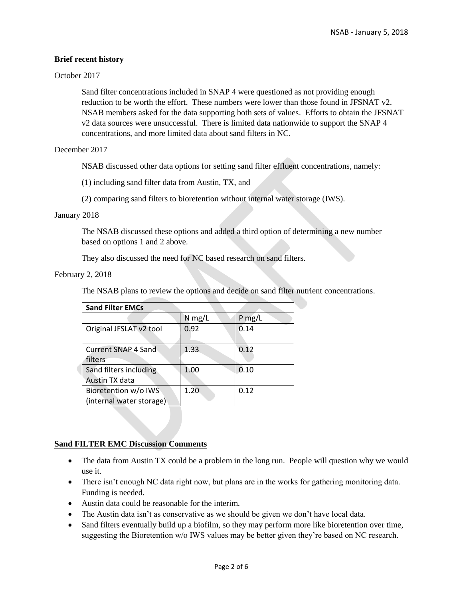# **Brief recent history**

# October 2017

Sand filter concentrations included in SNAP 4 were questioned as not providing enough reduction to be worth the effort. These numbers were lower than those found in JFSNAT v2. NSAB members asked for the data supporting both sets of values. Efforts to obtain the JFSNAT v2 data sources were unsuccessful. There is limited data nationwide to support the SNAP 4 concentrations, and more limited data about sand filters in NC.

December 2017

NSAB discussed other data options for setting sand filter effluent concentrations, namely:

(1) including sand filter data from Austin, TX, and

(2) comparing sand filters to bioretention without internal water storage (IWS).

#### January 2018

The NSAB discussed these options and added a third option of determining a new number based on options 1 and 2 above.

They also discussed the need for NC based research on sand filters.

# February 2, 2018

The NSAB plans to review the options and decide on sand filter nutrient concentrations.

| <b>Sand Filter EMCs</b>    |          |          |
|----------------------------|----------|----------|
|                            | $N$ mg/L | $P$ mg/L |
| Original JFSLAT v2 tool    | 0.92     | 0.14     |
| <b>Current SNAP 4 Sand</b> | 1.33     | 0.12     |
| filters                    |          |          |
| Sand filters including     | 1.00     | 0.10     |
| Austin TX data             |          |          |
| Bioretention w/o IWS       | 1.20     | 0.12     |
| (internal water storage)   |          |          |

# **Sand FILTER EMC Discussion Comments**

- The data from Austin TX could be a problem in the long run. People will question why we would use it.
- There isn't enough NC data right now, but plans are in the works for gathering monitoring data. Funding is needed.
- Austin data could be reasonable for the interim.
- The Austin data isn't as conservative as we should be given we don't have local data.
- Sand filters eventually build up a biofilm, so they may perform more like bioretention over time, suggesting the Bioretention w/o IWS values may be better given they're based on NC research.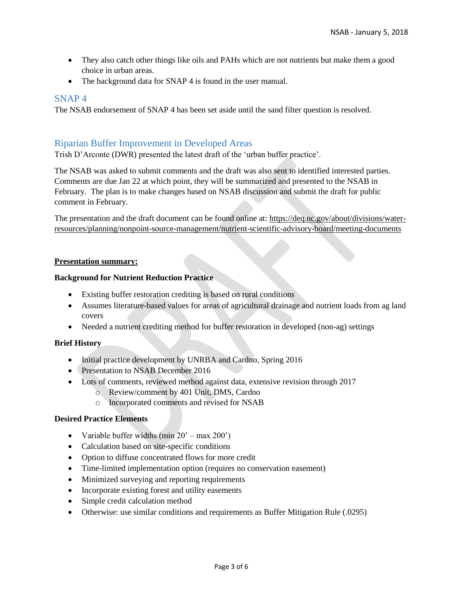- They also catch other things like oils and PAHs which are not nutrients but make them a good choice in urban areas.
- The background data for SNAP 4 is found in the user manual.

# SNAP 4

The NSAB endorsement of SNAP 4 has been set aside until the sand filter question is resolved.

# Riparian Buffer Improvement in Developed Areas

Trish D'Arconte (DWR) presented the latest draft of the 'urban buffer practice'.

The NSAB was asked to submit comments and the draft was also sent to identified interested parties. Comments are due Jan 22 at which point, they will be summarized and presented to the NSAB in February. The plan is to make changes based on NSAB discussion and submit the draft for public comment in February.

The presentation and the draft document can be found online at: [https://deq.nc.gov/about/divisions/water](https://deq.nc.gov/about/divisions/water-resources/planning/nonpoint-source-management/nutrient-scientific-advisory-board/meeting-documents)[resources/planning/nonpoint-source-management/nutrient-scientific-advisory-board/meeting-documents](https://deq.nc.gov/about/divisions/water-resources/planning/nonpoint-source-management/nutrient-scientific-advisory-board/meeting-documents)

#### **Presentation summary:**

#### **Background for Nutrient Reduction Practice**

- Existing buffer restoration crediting is based on rural conditions
- Assumes literature-based values for areas of agricultural drainage and nutrient loads from ag land covers
- Needed a nutrient crediting method for buffer restoration in developed (non-ag) settings

# **Brief History**

- Initial practice development by UNRBA and Cardno, Spring 2016
- Presentation to NSAB December 2016
- Lots of comments, reviewed method against data, extensive revision through 2017
	- o Review/comment by 401 Unit, DMS, Cardno
	- o Incorporated comments and revised for NSAB

#### **Desired Practice Elements**

- Variable buffer widths  $(\min 20' \max 200')$
- Calculation based on site-specific conditions
- Option to diffuse concentrated flows for more credit
- Time-limited implementation option (requires no conservation easement)
- Minimized surveying and reporting requirements
- Incorporate existing forest and utility easements
- Simple credit calculation method
- Otherwise: use similar conditions and requirements as Buffer Mitigation Rule (.0295)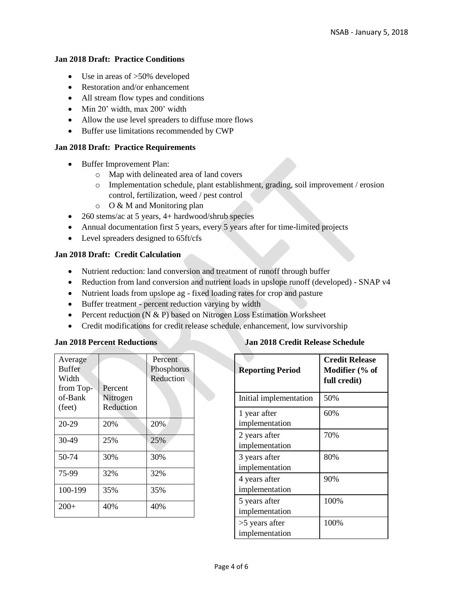# **Jan 2018 Draft: Practice Conditions**

- Use in areas of >50% developed
- Restoration and/or enhancement
- All stream flow types and conditions
- Min 20' width, max 200' width
- Allow the use level spreaders to diffuse more flows
- Buffer use limitations recommended by CWP

# **Jan 2018 Draft: Practice Requirements**

- Buffer Improvement Plan:
	- o Map with delineated area of land covers
	- o Implementation schedule, plant establishment, grading, soil improvement / erosion control, fertilization, weed / pest control
	- o O & M and Monitoring plan
- 260 stems/ac at 5 years, 4+ hardwood/shrub species
- Annual documentation first 5 years, every 5 years after for time-limited projects
- Level spreaders designed to 65ft/cfs

# **Jan 2018 Draft: Credit Calculation**

- Nutrient reduction: land conversion and treatment of runoff through buffer
- Reduction from land conversion and nutrient loads in upslope runoff (developed) SNAP v4
- Nutrient loads from upslope ag fixed loading rates for crop and pasture
- Buffer treatment percent reduction varying by width
- Percent reduction (N & P) based on Nitrogen Loss Estimation Worksheet
- Credit modifications for credit release schedule, enhancement, low survivorship

# **Jan 2018 Percent Reductions**

| Average<br><b>Buffer</b><br>Width<br>from Top-<br>of-Bank<br>(feet) | Percent<br>Nitrogen<br>Reduction | Percent<br>Phosphorus<br>Reduction |
|---------------------------------------------------------------------|----------------------------------|------------------------------------|
| 20-29                                                               | 20%                              | 20%                                |
| $30-49$                                                             | 25%                              | 25%                                |
| 50-74                                                               | 30%                              | 30%                                |
| 75-99                                                               | 32%                              | 32%                                |
| 100-199                                                             | 35%                              | 35%                                |
| $200+$                                                              | 40%                              | 40%                                |

# **Jan 2018 Credit Release Schedule**

| <b>Reporting Period</b>            | <b>Credit Release</b><br>Modifier (% of<br>full credit) |
|------------------------------------|---------------------------------------------------------|
| Initial implementation             | 50%                                                     |
| 1 year after<br>implementation     | 60%                                                     |
| 2 years after<br>implementation    | 70%                                                     |
| 3 years after<br>implementation    | 80%                                                     |
| 4 years after<br>implementation    | 90%                                                     |
| 5 years after<br>implementation    | 100%                                                    |
| $>5$ years after<br>implementation | 100%                                                    |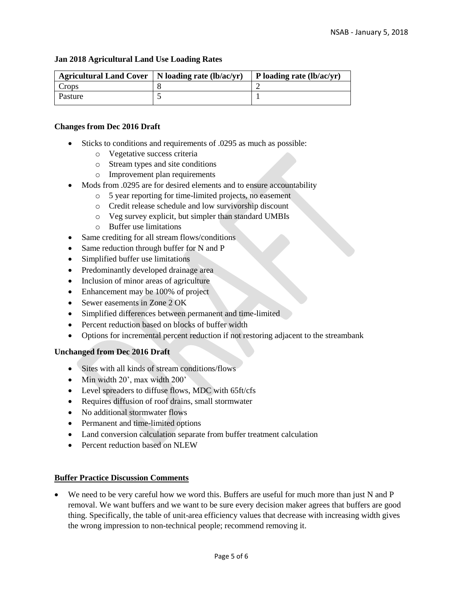# **Jan 2018 Agricultural Land Use Loading Rates**

| Agricultural Land Cover   N loading rate $(lb/ac/yr)$ | $\vert$ P loading rate (lb/ac/yr) |
|-------------------------------------------------------|-----------------------------------|
| Crops                                                 |                                   |
| Pasture                                               |                                   |

# **Changes from Dec 2016 Draft**

- Sticks to conditions and requirements of .0295 as much as possible:
	- o Vegetative success criteria
	- o Stream types and site conditions
	- o Improvement plan requirements
- Mods from .0295 are for desired elements and to ensure accountability
	- o 5 year reporting for time-limited projects, no easement
	- o Credit release schedule and low survivorship discount
	- o Veg survey explicit, but simpler than standard UMBIs
	- o Buffer use limitations
- Same crediting for all stream flows/conditions
- Same reduction through buffer for N and P
- Simplified buffer use limitations
- Predominantly developed drainage area
- Inclusion of minor areas of agriculture
- Enhancement may be 100% of project
- Sewer easements in Zone 2 OK
- Simplified differences between permanent and time-limited
- Percent reduction based on blocks of buffer width
- Options for incremental percent reduction if not restoring adjacent to the streambank

# **Unchanged from Dec 2016 Draft**

- Sites with all kinds of stream conditions/flows
- Min width 20', max width 200'
- Level spreaders to diffuse flows, MDC with 65ft/cfs
- Requires diffusion of roof drains, small stormwater
- No additional stormwater flows
- Permanent and time-limited options
- Land conversion calculation separate from buffer treatment calculation
- Percent reduction based on NLEW

# **Buffer Practice Discussion Comments**

• We need to be very careful how we word this. Buffers are useful for much more than just N and P removal. We want buffers and we want to be sure every decision maker agrees that buffers are good thing. Specifically, the table of unit-area efficiency values that decrease with increasing width gives the wrong impression to non-technical people; recommend removing it.